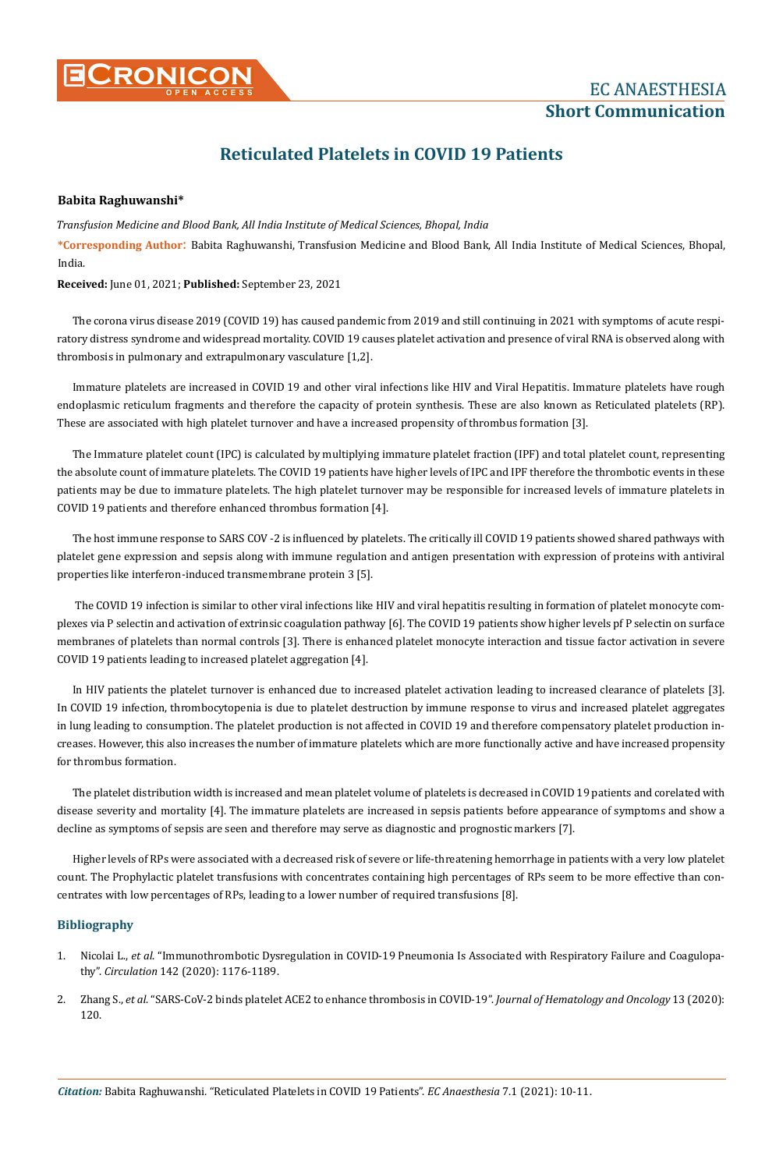

## **Reticulated Platelets in COVID 19 Patients**

## **Babita Raghuwanshi\***

*Transfusion Medicine and Blood Bank, All India Institute of Medical Sciences, Bhopal, India* 

**\*Corresponding Author**: Babita Raghuwanshi, Transfusion Medicine and Blood Bank, All India Institute of Medical Sciences, Bhopal, India.

**Received:** June 01, 2021; **Published:** September 23, 2021

The corona virus disease 2019 (COVID 19) has caused pandemic from 2019 and still continuing in 2021 with symptoms of acute respiratory distress syndrome and widespread mortality. COVID 19 causes platelet activation and presence of viral RNA is observed along with thrombosis in pulmonary and extrapulmonary vasculature [1,2].

Immature platelets are increased in COVID 19 and other viral infections like HIV and Viral Hepatitis. Immature platelets have rough endoplasmic reticulum fragments and therefore the capacity of protein synthesis. These are also known as Reticulated platelets (RP). These are associated with high platelet turnover and have a increased propensity of thrombus formation [3].

The Immature platelet count (IPC) is calculated by multiplying immature platelet fraction (IPF) and total platelet count, representing the absolute count of immature platelets. The COVID 19 patients have higher levels of IPC and IPF therefore the thrombotic events in these patients may be due to immature platelets. The high platelet turnover may be responsible for increased levels of immature platelets in COVID 19 patients and therefore enhanced thrombus formation [4].

The host immune response to SARS COV -2 is influenced by platelets. The critically ill COVID 19 patients showed shared pathways with platelet gene expression and sepsis along with immune regulation and antigen presentation with expression of proteins with antiviral properties like interferon-induced transmembrane protein 3 [5].

 The COVID 19 infection is similar to other viral infections like HIV and viral hepatitis resulting in formation of platelet monocyte complexes via P selectin and activation of extrinsic coagulation pathway [6]. The COVID 19 patients show higher levels pf P selectin on surface membranes of platelets than normal controls [3]. There is enhanced platelet monocyte interaction and tissue factor activation in severe COVID 19 patients leading to increased platelet aggregation [4].

In HIV patients the platelet turnover is enhanced due to increased platelet activation leading to increased clearance of platelets [3]. In COVID 19 infection, thrombocytopenia is due to platelet destruction by immune response to virus and increased platelet aggregates in lung leading to consumption. The platelet production is not affected in COVID 19 and therefore compensatory platelet production increases. However, this also increases the number of immature platelets which are more functionally active and have increased propensity for thrombus formation.

The platelet distribution width is increased and mean platelet volume of platelets is decreased in COVID 19 patients and corelated with disease severity and mortality [4]. The immature platelets are increased in sepsis patients before appearance of symptoms and show a decline as symptoms of sepsis are seen and therefore may serve as diagnostic and prognostic markers [7].

Higher levels of RPs were associated with a decreased risk of severe or life-threatening hemorrhage in patients with a very low platelet count. The Prophylactic platelet transfusions with concentrates containing high percentages of RPs seem to be more effective than concentrates with low percentages of RPs, leading to a lower number of required transfusions [8].

## **Bibliography**

- 1. Nicolai L., *et al*[. "Immunothrombotic Dysregulation in COVID-19 Pneumonia Is Associated with Respiratory Failure and Coagulopa](https://www.ahajournals.org/doi/full/10.1161/CIRCULATIONAHA.120.048488)thy". *Circulation* [142 \(2020\): 1176-1189.](https://www.ahajournals.org/doi/full/10.1161/CIRCULATIONAHA.120.048488)
- 2. Zhang S., *et al*[. "SARS-CoV-2 binds platelet ACE2 to enhance thrombosis in COVID-19".](https://jhoonline.biomedcentral.com/articles/10.1186/s13045-020-00954-7) *Journal of Hematology and Oncology* 13 (2020): [120.](https://jhoonline.biomedcentral.com/articles/10.1186/s13045-020-00954-7)